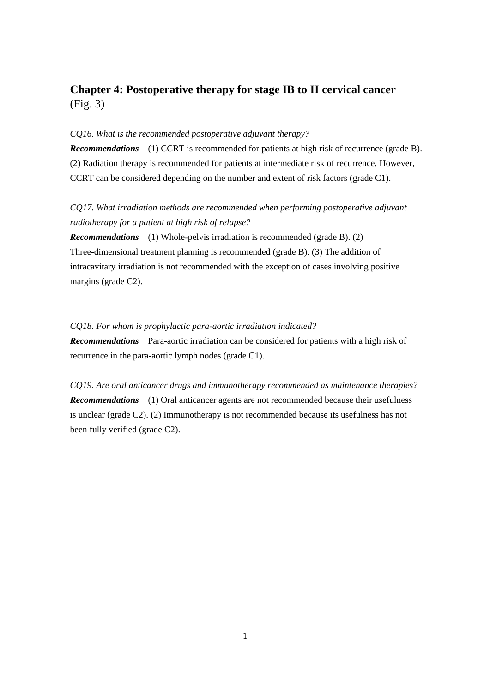## **Chapter 4: Postoperative therapy for stage IB to II cervical cancer** (Fig. 3)

## *CQ16. What is the recommended postoperative adjuvant therapy?*

*Recommendations* (1) CCRT is recommended for patients at high risk of recurrence (grade B). (2) Radiation therapy is recommended for patients at intermediate risk of recurrence. However, CCRT can be considered depending on the number and extent of risk factors (grade C1).

## *CQ17. What irradiation methods are recommended when performing postoperative adjuvant radiotherapy for a patient at high risk of relapse?*

*Recommendations* (1) Whole-pelvis irradiation is recommended (grade B). (2) Three-dimensional treatment planning is recommended (grade B). (3) The addition of intracavitary irradiation is not recommended with the exception of cases involving positive margins (grade C2).

## *CQ18. For whom is prophylactic para-aortic irradiation indicated?*

*Recommendations* Para-aortic irradiation can be considered for patients with a high risk of recurrence in the para-aortic lymph nodes (grade C1).

*CQ19. Are oral anticancer drugs and immunotherapy recommended as maintenance therapies? Recommendations* (1) Oral anticancer agents are not recommended because their usefulness is unclear (grade C2). (2) Immunotherapy is not recommended because its usefulness has not been fully verified (grade C2).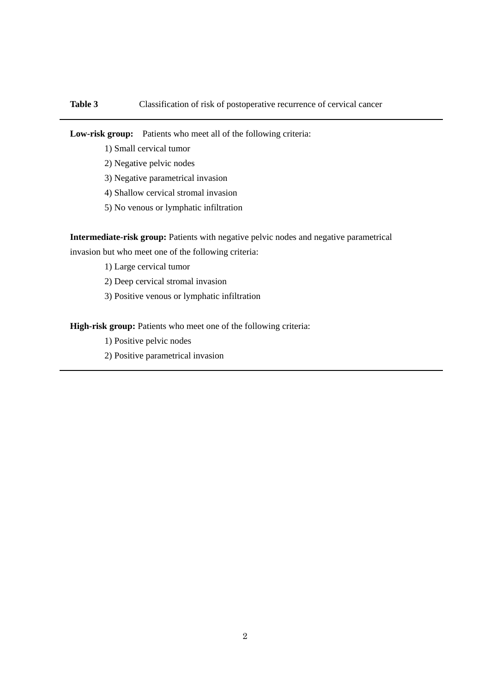**Low-risk group:** Patients who meet all of the following criteria:

- 1) Small cervical tumor
- 2) Negative pelvic nodes
- 3) Negative parametrical invasion
- 4) Shallow cervical stromal invasion
- 5) No venous or lymphatic infiltration

Intermediate-risk group: Patients with negative pelvic nodes and negative parametrical

invasion but who meet one of the following criteria:

- 1) Large cervical tumor
- 2) Deep cervical stromal invasion
- 3) Positive venous or lymphatic infiltration

High-risk group: Patients who meet one of the following criteria:

- 1) Positive pelvic nodes
- 2) Positive parametrical invasion